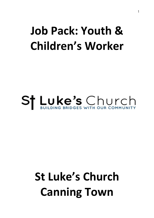### **Job Pack: Youth & Children's Worker**

# St Luke's Church

## **St Luke's Church Canning Town**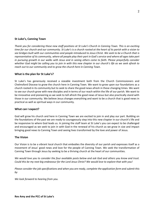#### **St Luke's, Canning Town**

Thank you for considering these new staff positions at St Luke's Church in Canning Town. This is an exciting time for our church and our community. St Luke's is a church rooted at the heart of its parish with a vision to see bridges built with our communities and people introduced to Jesus Christ. We seek to be a Church that is representative of its community, where all people play their part in God's service and where all ages take part in pursuing growth in our walks with Jesus and in seeing others come to faith. Please prayerfully consider whether God might be calling you to join in with this new chapter in our church's life as we seek afresh to *reach out to our community and to grow the church here in Canning Town.*

#### **What is the plan for St Luke's?**

St Luke's has generously received a sizeable investment both from the Church Commissioners and Chelmsford Diocese to grow the church here in Canning Town. We want to grow upon our foundations as a church rooted in its community but to seek to share the good news afresh in these changing times. We want to see our church grow with new disciples and in terms of our reach within the life of our parish. We want to be innovative and pioneering as we seek to tell afresh the good news of Jesus but also practically stand with those in our community. We believe Jesus changes everything and want to be a church that is good news in practical as well as spiritual ways in our community.

#### **What can I expect?**

God will grow his church and here in Canning Town we are excited to join in and play our part. Building on the foundations of the past we are ready to courageously step into this new chapter in our church's life and be responsive to where God leads us. In joining the staff team at St Luke's you can expect to be challenged and encouraged as we seek to join in with God in the renewal of his church as we grow in size and impact bringing good news to Canning Town and seeing lives transformed by the love and power of Jesus.

#### **The Vision**

Our Vision is to be a vibrant local church that embodies the diversity of our parish and expresses itself as a movement of Jesus' good news and love for the people of Canning Town. We seek the transformation of Canning Town through Jesus by seeking to be a thriving church at the heart of our communities.

We would love you to consider the four available posts below and ask God and others you know and trust. Could this be my next big endeavour for the Lord Jesus Christ? We would love to explore that with you!

Please consider the job specifications and when you are ready, complete the application form and submit this *by*

*We look forward to hearing from you.*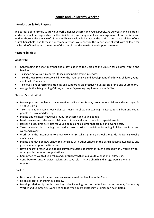#### **Youth and Children's Worker**

#### **Introduction & Role Purpose**

The purpose of this role is to grow our work amongst children and young people. As our youth and children's' worker you will be responsible for the discipleship, encouragement and management of our ministry and work to those under the age of 18. You will have a valuable impact on the spiritual and practical lives of our church households and those in our community too. We recognize the importance of work with children for the health of families and the future of the church and this role is of key importance to us.

#### **Responsibilities:**

Leadership:

- Contributing as a staff member and a key leader to the Vision of the Church for children, youth and families.
- Taking an active role in church life including participating in services
- Take the lead role and responsibility for the maintenance and development of a thriving children, youth and families' ministry.
- Take oversight of recruiting, training and supporting an effective volunteer children's and youth team.
- Alongside the Safeguarding Officer, ensure safeguarding requirements are fulfilled.

Children & Youth Work:

- Devise, plan and implement an innovative and inspiring Sunday program for children and youth aged 5- 18 at St Luke's.
- Take the lead in shaping our volunteer teams to allow our existing ministries to children and young people to thrive and develop.
- Initiate and maintain midweek groups for children and young people.
- Lead, oversee and take responsibility for children and youth projects or special events.
- Deliver holiday time activities for young people and children that are fun and evangelistic.
- Take ownership in planning and leading extra-curricular activities including holiday provision and weekends away.
- Work with the incumbent to grow work in St Luke's primary school alongside delivering weekly assemblies.
- Initiate and develop new school relationships with other schools in the parish, leading assemblies and groups where opportunities arise.
- Have a heart to reach young people currently outside of church through detached work, working with other youth community organisations.
- Committed to youth discipleship and spiritual growth in our Youth Alphas and Follow ups.
- Contribute to Sunday services, taking an active role in Active Church and all-age worship where required.

Families:

- Be a point of contact for and have an awareness of the families in the Church.
- Be an advocate for church as a family.
- Develop relationships with other key roles including but not limited to the Incumbent, Community Worker and Community Evangelist so that when appropriate joint projects can be initiated.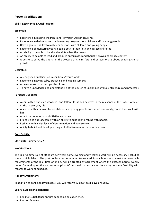#### **Person Specification:**

#### **Skills, Experience & Qualifications:**

#### **Essential:**

- Experience in leading children's and/ or youth work in churches.
- Experience in designing and implementing programs for children and/ or young people.
- Have a genuine ability to make connections with children and young people.
- Experience of mentoring young people both in their faith and in secular life too.
- An ability to be able to build and maintain healthy teams
- An ability to be able to lead and produce enthusiastic and thought provoking all-age content
- A desire to serve the Church in the Diocese of Chelmsford and be passionate about enabling church growth.

#### **Desirable:**

- A recognised qualification in children's/ youth work
- Experience in giving talks, preaching and leading services
- An awareness of current youth culture
- To have a knowledge and understanding of the Church of England, it's values, structures and processes.

#### **Personal Qualities:**

- A committed Christian who loves and follows Jesus and believes in the relevance of the Gospel of Jesus Christ to everyday life.
- A leader with a passion to see children and young people encounter Jesus and grow in their walk with him.
- A self-starter who shows initiative and drive.
- Friendly and approachable with an ability to build relationships with people.
- Resilient with a high level of determination and persistence.
- Ability to build and develop strong and effective relationships with a team.

#### **Role Details:**

#### **Start date:** Summer 2022

#### **Working Hours:**

This is a full-time role of 40 hours per week. Some evening and weekend work will be necessary (including some bank holidays). The post holder may be required to work additional hours as to meet the reasonable requirements of the role, time off in lieu will be granted by agreement where this exceeds normal weekly hours. Depending on the successful applicants' personal circumstances there may be some flexibility with regards to working schedule.

#### **Holiday Entitlement:**

In addition to bank holidays (8 days) you will receive 22 days' paid leave annually.

#### **Salary & Additional Benefits:**

- £26,000-£28,000 per annum depending on experience.
- Pension Scheme